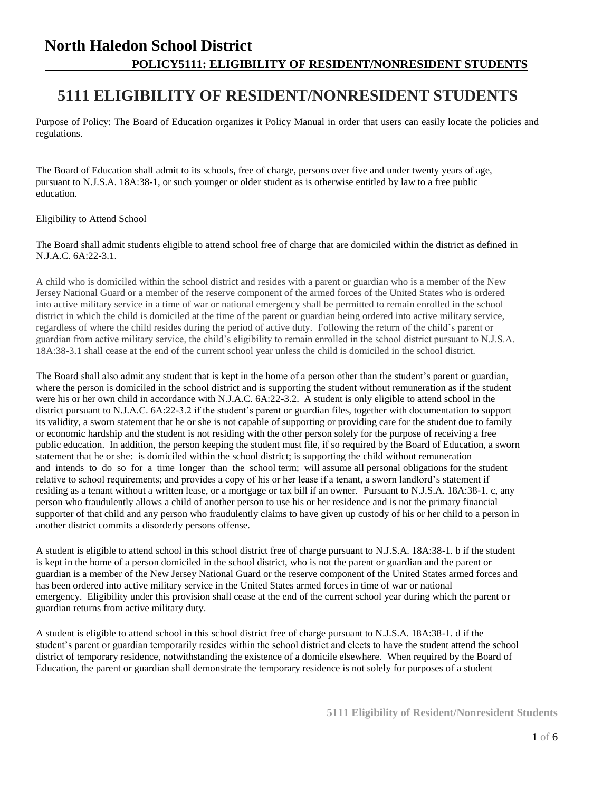# **5111 ELIGIBILITY OF RESIDENT/NONRESIDENT STUDENTS**

Purpose of Policy: The Board of Education organizes it Policy Manual in order that users can easily locate the policies and regulations.

The Board of Education shall admit to its schools, free of charge, persons over five and under twenty years of age, pursuant to N.J.S.A. 18A:38-1, or such younger or older student as is otherwise entitled by law to a free public education.

### Eligibility to Attend School

The Board shall admit students eligible to attend school free of charge that are domiciled within the district as defined in N.J.A.C. 6A:22-3.1.

A child who is domiciled within the school district and resides with a parent or guardian who is a member of the New Jersey National Guard or a member of the reserve component of the armed forces of the United States who is ordered into active military service in a time of war or national emergency shall be permitted to remain enrolled in the school district in which the child is domiciled at the time of the parent or guardian being ordered into active military service, regardless of where the child resides during the period of active duty. Following the return of the child's parent or guardian from active military service, the child's eligibility to remain enrolled in the school district pursuant to N.J.S.A. 18A:38-3.1 shall cease at the end of the current school year unless the child is domiciled in the school district.

The Board shall also admit any student that is kept in the home of a person other than the student's parent or guardian, where the person is domiciled in the school district and is supporting the student without remuneration as if the student were his or her own child in accordance with N.J.A.C. 6A:22-3.2. A student is only eligible to attend school in the district pursuant to N.J.A.C. 6A:22-3.2 if the student's parent or guardian files, together with documentation to support its validity, a sworn statement that he or she is not capable of supporting or providing care for the student due to family or economic hardship and the student is not residing with the other person solely for the purpose of receiving a free public education. In addition, the person keeping the student must file, if so required by the Board of Education, a sworn statement that he or she: is domiciled within the school district; is supporting the child without remuneration and intends to do so for a time longer than the school term; will assume all personal obligations for the student relative to school requirements; and provides a copy of his or her lease if a tenant, a sworn landlord's statement if residing as a tenant without a written lease, or a mortgage or tax bill if an owner. Pursuant to N.J.S.A. 18A:38-1. c, any person who fraudulently allows a child of another person to use his or her residence and is not the primary financial supporter of that child and any person who fraudulently claims to have given up custody of his or her child to a person in another district commits a disorderly persons offense.

A student is eligible to attend school in this school district free of charge pursuant to N.J.S.A. 18A:38-1. b if the student is kept in the home of a person domiciled in the school district, who is not the parent or guardian and the parent or guardian is a member of the New Jersey National Guard or the reserve component of the United States armed forces and has been ordered into active military service in the United States armed forces in time of war or national emergency. Eligibility under this provision shall cease at the end of the current school year during which the parent or guardian returns from active military duty.

A student is eligible to attend school in this school district free of charge pursuant to N.J.S.A. 18A:38-1. d if the student's parent or guardian temporarily resides within the school district and elects to have the student attend the school district of temporary residence, notwithstanding the existence of a domicile elsewhere. When required by the Board of Education, the parent or guardian shall demonstrate the temporary residence is not solely for purposes of a student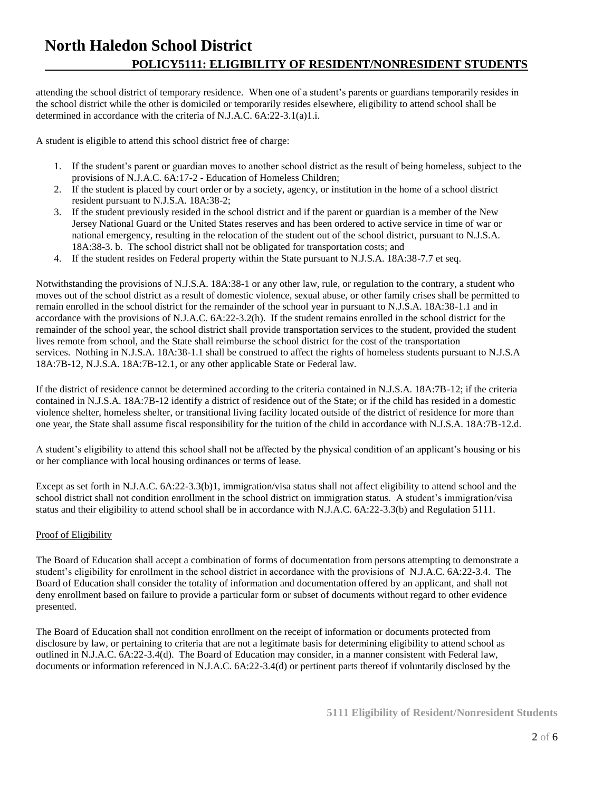attending the school district of temporary residence. When one of a student's parents or guardians temporarily resides in the school district while the other is domiciled or temporarily resides elsewhere, eligibility to attend school shall be determined in accordance with the criteria of N.J.A.C. 6A:22-3.1(a)1.i.

A student is eligible to attend this school district free of charge:

- 1. If the student's parent or guardian moves to another school district as the result of being homeless, subject to the provisions of N.J.A.C. 6A:17-2 - Education of Homeless Children;
- 2. If the student is placed by court order or by a society, agency, or institution in the home of a school district resident pursuant to N.J.S.A. 18A:38-2;
- 3. If the student previously resided in the school district and if the parent or guardian is a member of the New Jersey National Guard or the United States reserves and has been ordered to active service in time of war or national emergency, resulting in the relocation of the student out of the school district, pursuant to N.J.S.A. 18A:38-3. b. The school district shall not be obligated for transportation costs; and
- 4. If the student resides on Federal property within the State pursuant to N.J.S.A. 18A:38-7.7 et seq.

Notwithstanding the provisions of N.J.S.A. 18A:38-1 or any other law, rule, or regulation to the contrary, a student who moves out of the school district as a result of domestic violence, sexual abuse, or other family crises shall be permitted to remain enrolled in the school district for the remainder of the school year in pursuant to N.J.S.A. 18A:38-1.1 and in accordance with the provisions of N.J.A.C. 6A:22-3.2(h). If the student remains enrolled in the school district for the remainder of the school year, the school district shall provide transportation services to the student, provided the student lives remote from school, and the State shall reimburse the school district for the cost of the transportation services. Nothing in N.J.S.A. 18A:38-1.1 shall be construed to affect the rights of homeless students pursuant to N.J.S.A 18A:7B-12, N.J.S.A. 18A:7B-12.1, or any other applicable State or Federal law.

If the district of residence cannot be determined according to the criteria contained in N.J.S.A. 18A:7B-12; if the criteria contained in N.J.S.A. 18A:7B-12 identify a district of residence out of the State; or if the child has resided in a domestic violence shelter, homeless shelter, or transitional living facility located outside of the district of residence for more than one year, the State shall assume fiscal responsibility for the tuition of the child in accordance with N.J.S.A. 18A:7B-12.d.

A student's eligibility to attend this school shall not be affected by the physical condition of an applicant's housing or his or her compliance with local housing ordinances or terms of lease.

Except as set forth in N.J.A.C. 6A:22-3.3(b)1, immigration/visa status shall not affect eligibility to attend school and the school district shall not condition enrollment in the school district on immigration status. A student's immigration/visa status and their eligibility to attend school shall be in accordance with N.J.A.C. 6A:22-3.3(b) and Regulation 5111.

### Proof of Eligibility

The Board of Education shall accept a combination of forms of documentation from persons attempting to demonstrate a student's eligibility for enrollment in the school district in accordance with the provisions of N.J.A.C. 6A:22-3.4. The Board of Education shall consider the totality of information and documentation offered by an applicant, and shall not deny enrollment based on failure to provide a particular form or subset of documents without regard to other evidence presented.

The Board of Education shall not condition enrollment on the receipt of information or documents protected from disclosure by law, or pertaining to criteria that are not a legitimate basis for determining eligibility to attend school as outlined in N.J.A.C. 6A:22-3.4(d). The Board of Education may consider, in a manner consistent with Federal law, documents or information referenced in N.J.A.C. 6A:22-3.4(d) or pertinent parts thereof if voluntarily disclosed by the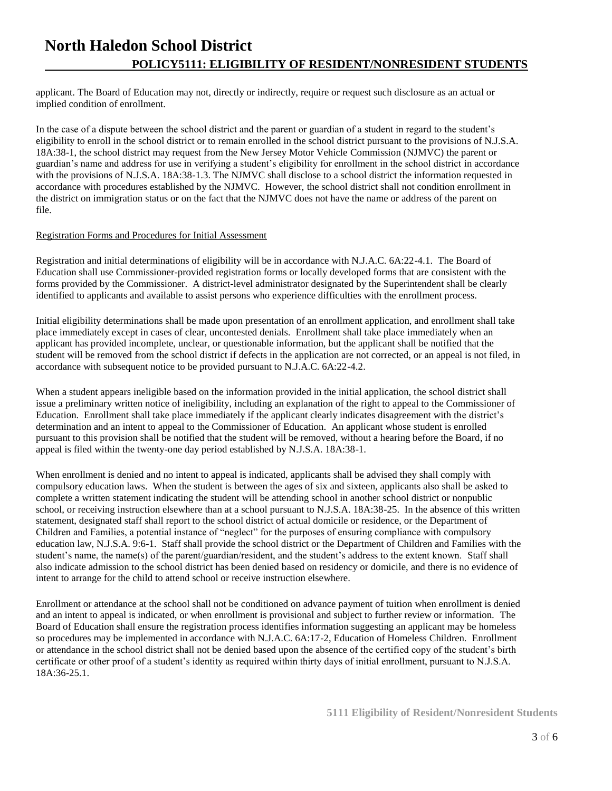applicant. The Board of Education may not, directly or indirectly, require or request such disclosure as an actual or implied condition of enrollment.

In the case of a dispute between the school district and the parent or guardian of a student in regard to the student's eligibility to enroll in the school district or to remain enrolled in the school district pursuant to the provisions of N.J.S.A. 18A:38-1, the school district may request from the New Jersey Motor Vehicle Commission (NJMVC) the parent or guardian's name and address for use in verifying a student's eligibility for enrollment in the school district in accordance with the provisions of N.J.S.A. 18A:38-1.3. The NJMVC shall disclose to a school district the information requested in accordance with procedures established by the NJMVC. However, the school district shall not condition enrollment in the district on immigration status or on the fact that the NJMVC does not have the name or address of the parent on file.

#### Registration Forms and Procedures for Initial Assessment

Registration and initial determinations of eligibility will be in accordance with N.J.A.C. 6A:22-4.1. The Board of Education shall use Commissioner-provided registration forms or locally developed forms that are consistent with the forms provided by the Commissioner. A district-level administrator designated by the Superintendent shall be clearly identified to applicants and available to assist persons who experience difficulties with the enrollment process.

Initial eligibility determinations shall be made upon presentation of an enrollment application, and enrollment shall take place immediately except in cases of clear, uncontested denials. Enrollment shall take place immediately when an applicant has provided incomplete, unclear, or questionable information, but the applicant shall be notified that the student will be removed from the school district if defects in the application are not corrected, or an appeal is not filed, in accordance with subsequent notice to be provided pursuant to N.J.A.C. 6A:22-4.2.

When a student appears ineligible based on the information provided in the initial application, the school district shall issue a preliminary written notice of ineligibility, including an explanation of the right to appeal to the Commissioner of Education. Enrollment shall take place immediately if the applicant clearly indicates disagreement with the district's determination and an intent to appeal to the Commissioner of Education. An applicant whose student is enrolled pursuant to this provision shall be notified that the student will be removed, without a hearing before the Board, if no appeal is filed within the twenty-one day period established by N.J.S.A. 18A:38-1.

When enrollment is denied and no intent to appeal is indicated, applicants shall be advised they shall comply with compulsory education laws. When the student is between the ages of six and sixteen, applicants also shall be asked to complete a written statement indicating the student will be attending school in another school district or nonpublic school, or receiving instruction elsewhere than at a school pursuant to N.J.S.A. 18A:38-25. In the absence of this written statement, designated staff shall report to the school district of actual domicile or residence, or the Department of Children and Families, a potential instance of "neglect" for the purposes of ensuring compliance with compulsory education law, N.J.S.A. 9:6-1. Staff shall provide the school district or the Department of Children and Families with the student's name, the name(s) of the parent/guardian/resident, and the student's address to the extent known. Staff shall also indicate admission to the school district has been denied based on residency or domicile, and there is no evidence of intent to arrange for the child to attend school or receive instruction elsewhere.

Enrollment or attendance at the school shall not be conditioned on advance payment of tuition when enrollment is denied and an intent to appeal is indicated, or when enrollment is provisional and subject to further review or information. The Board of Education shall ensure the registration process identifies information suggesting an applicant may be homeless so procedures may be implemented in accordance with N.J.A.C. 6A:17-2, Education of Homeless Children. Enrollment or attendance in the school district shall not be denied based upon the absence of the certified copy of the student's birth certificate or other proof of a student's identity as required within thirty days of initial enrollment, pursuant to N.J.S.A. 18A:36-25.1.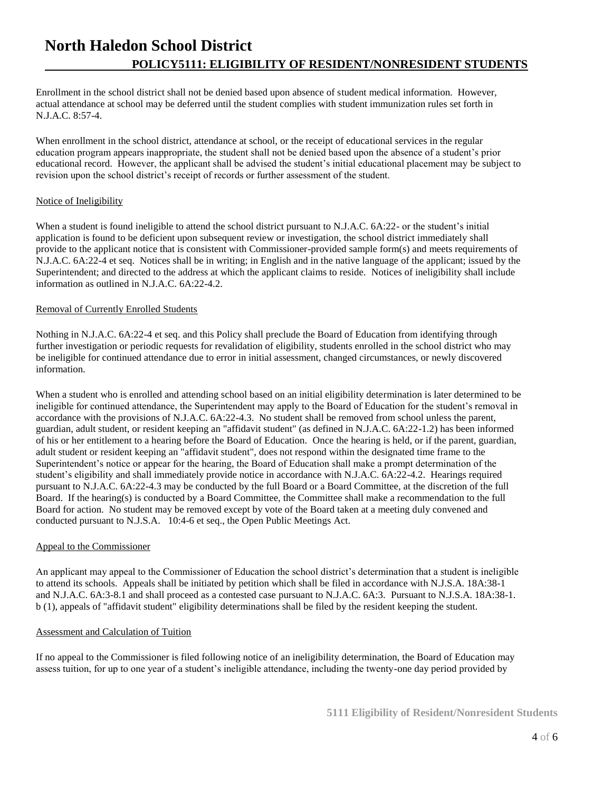Enrollment in the school district shall not be denied based upon absence of student medical information. However, actual attendance at school may be deferred until the student complies with student immunization rules set forth in N.J.A.C. 8:57-4.

When enrollment in the school district, attendance at school, or the receipt of educational services in the regular education program appears inappropriate, the student shall not be denied based upon the absence of a student's prior educational record. However, the applicant shall be advised the student's initial educational placement may be subject to revision upon the school district's receipt of records or further assessment of the student.

### Notice of Ineligibility

When a student is found ineligible to attend the school district pursuant to N.J.A.C. 6A:22- or the student's initial application is found to be deficient upon subsequent review or investigation, the school district immediately shall provide to the applicant notice that is consistent with Commissioner-provided sample form(s) and meets requirements of N.J.A.C. 6A:22-4 et seq. Notices shall be in writing; in English and in the native language of the applicant; issued by the Superintendent; and directed to the address at which the applicant claims to reside. Notices of ineligibility shall include information as outlined in N.J.A.C. 6A:22-4.2.

### Removal of Currently Enrolled Students

Nothing in N.J.A.C. 6A:22-4 et seq. and this Policy shall preclude the Board of Education from identifying through further investigation or periodic requests for revalidation of eligibility, students enrolled in the school district who may be ineligible for continued attendance due to error in initial assessment, changed circumstances, or newly discovered information.

When a student who is enrolled and attending school based on an initial eligibility determination is later determined to be ineligible for continued attendance, the Superintendent may apply to the Board of Education for the student's removal in accordance with the provisions of N.J.A.C. 6A:22-4.3. No student shall be removed from school unless the parent, guardian, adult student, or resident keeping an "affidavit student" (as defined in N.J.A.C. 6A:22-1.2) has been informed of his or her entitlement to a hearing before the Board of Education. Once the hearing is held, or if the parent, guardian, adult student or resident keeping an "affidavit student", does not respond within the designated time frame to the Superintendent's notice or appear for the hearing, the Board of Education shall make a prompt determination of the student's eligibility and shall immediately provide notice in accordance with N.J.A.C. 6A:22-4.2. Hearings required pursuant to N.J.A.C. 6A:22-4.3 may be conducted by the full Board or a Board Committee, at the discretion of the full Board. If the hearing(s) is conducted by a Board Committee, the Committee shall make a recommendation to the full Board for action. No student may be removed except by vote of the Board taken at a meeting duly convened and conducted pursuant to N.J.S.A. 10:4-6 et seq., the Open Public Meetings Act.

### Appeal to the Commissioner

An applicant may appeal to the Commissioner of Education the school district's determination that a student is ineligible to attend its schools. Appeals shall be initiated by petition which shall be filed in accordance with N.J.S.A. 18A:38-1 and N.J.A.C. 6A:3-8.1 and shall proceed as a contested case pursuant to N.J.A.C. 6A:3. Pursuant to N.J.S.A. 18A:38-1. b (1), appeals of "affidavit student" eligibility determinations shall be filed by the resident keeping the student.

### Assessment and Calculation of Tuition

If no appeal to the Commissioner is filed following notice of an ineligibility determination, the Board of Education may assess tuition, for up to one year of a student's ineligible attendance, including the twenty-one day period provided by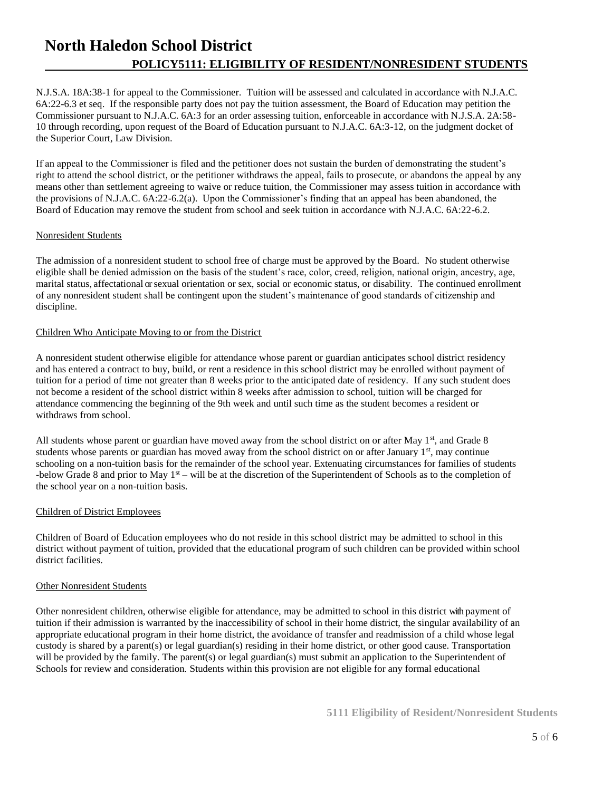N.J.S.A. 18A:38-1 for appeal to the Commissioner. Tuition will be assessed and calculated in accordance with N.J.A.C. 6A:22-6.3 et seq. If the responsible party does not pay the tuition assessment, the Board of Education may petition the Commissioner pursuant to N.J.A.C. 6A:3 for an order assessing tuition, enforceable in accordance with N.J.S.A. 2A:58- 10 through recording, upon request of the Board of Education pursuant to N.J.A.C. 6A:3-12, on the judgment docket of the Superior Court, Law Division.

If an appeal to the Commissioner is filed and the petitioner does not sustain the burden of demonstrating the student's right to attend the school district, or the petitioner withdraws the appeal, fails to prosecute, or abandons the appeal by any means other than settlement agreeing to waive or reduce tuition, the Commissioner may assess tuition in accordance with the provisions of N.J.A.C. 6A:22-6.2(a). Upon the Commissioner's finding that an appeal has been abandoned, the Board of Education may remove the student from school and seek tuition in accordance with N.J.A.C. 6A:22-6.2.

#### Nonresident Students

The admission of a nonresident student to school free of charge must be approved by the Board. No student otherwise eligible shall be denied admission on the basis of the student's race, color, creed, religion, national origin, ancestry, age, marital status, affectational orsexual orientation or sex, social or economic status, or disability. The continued enrollment of any nonresident student shall be contingent upon the student's maintenance of good standards of citizenship and discipline.

### Children Who Anticipate Moving to or from the District

A nonresident student otherwise eligible for attendance whose parent or guardian anticipates school district residency and has entered a contract to buy, build, or rent a residence in this school district may be enrolled without payment of tuition for a period of time not greater than 8 weeks prior to the anticipated date of residency. If any such student does not become a resident of the school district within 8 weeks after admission to school, tuition will be charged for attendance commencing the beginning of the 9th week and until such time as the student becomes a resident or withdraws from school.

All students whose parent or guardian have moved away from the school district on or after May  $1<sup>st</sup>$ , and Grade 8 students whose parents or guardian has moved away from the school district on or after January  $1<sup>st</sup>$ , may continue schooling on a non-tuition basis for the remainder of the school year. Extenuating circumstances for families of students -below Grade 8 and prior to May  $1<sup>st</sup>$  – will be at the discretion of the Superintendent of Schools as to the completion of the school year on a non-tuition basis.

### Children of District Employees

Children of Board of Education employees who do not reside in this school district may be admitted to school in this district without payment of tuition, provided that the educational program of such children can be provided within school district facilities.

### Other Nonresident Students

Other nonresident children, otherwise eligible for attendance, may be admitted to school in this district with payment of tuition if their admission is warranted by the inaccessibility of school in their home district, the singular availability of an appropriate educational program in their home district, the avoidance of transfer and readmission of a child whose legal custody is shared by a parent(s) or legal guardian(s) residing in their home district, or other good cause. Transportation will be provided by the family. The parent(s) or legal guardian(s) must submit an application to the Superintendent of Schools for review and consideration. Students within this provision are not eligible for any formal educational